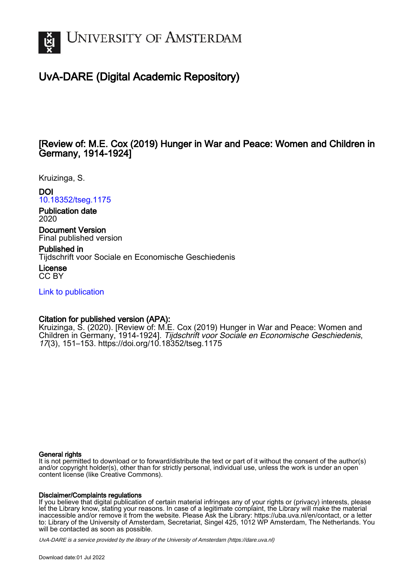

# UvA-DARE (Digital Academic Repository)

## [Review of: M.E. Cox (2019) Hunger in War and Peace: Women and Children in Germany, 1914-1924]

Kruizinga, S.

## DOI

[10.18352/tseg.1175](https://doi.org/10.18352/tseg.1175)

Publication date 2020

Document Version Final published version

Published in Tijdschrift voor Sociale en Economische Geschiedenis

License CC BY

[Link to publication](https://dare.uva.nl/personal/pure/en/publications/review-of-me-cox-2019-hunger-in-war-and-peace-women-and-children-in-germany-19141924(076d63fb-6cb8-47b0-8180-18ccb1369666).html)

### Citation for published version (APA):

Kruizinga, S. (2020). [Review of: M.E. Cox (2019) Hunger in War and Peace: Women and Children in Germany, 1914-1924]. Tijdschrift voor Sociale en Economische Geschiedenis, 17(3), 151–153.<https://doi.org/10.18352/tseg.1175>

#### General rights

It is not permitted to download or to forward/distribute the text or part of it without the consent of the author(s) and/or copyright holder(s), other than for strictly personal, individual use, unless the work is under an open content license (like Creative Commons).

#### Disclaimer/Complaints regulations

If you believe that digital publication of certain material infringes any of your rights or (privacy) interests, please let the Library know, stating your reasons. In case of a legitimate complaint, the Library will make the material inaccessible and/or remove it from the website. Please Ask the Library: https://uba.uva.nl/en/contact, or a letter to: Library of the University of Amsterdam, Secretariat, Singel 425, 1012 WP Amsterdam, The Netherlands. You will be contacted as soon as possible.

UvA-DARE is a service provided by the library of the University of Amsterdam (http*s*://dare.uva.nl)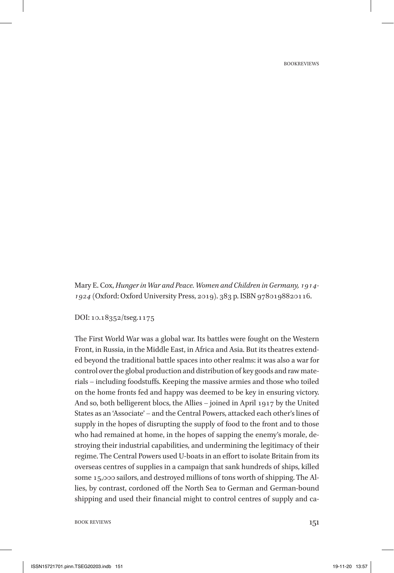Mary E. Cox, *Hunger in War and Peace. Women and Children in Germany, 1914- 1924* (Oxford: Oxford University Press, 2019). 383 p. ISBN 9780198820116.

DOI: 10.18352/tseg.1175

The First World War was a global war. Its battles were fought on the Western Front, in Russia, in the Middle East, in Africa and Asia. But its theatres extended beyond the traditional battle spaces into other realms: it was also a war for control over the global production and distribution of key goods and raw materials – including foodstuffs. Keeping the massive armies and those who toiled on the home fronts fed and happy was deemed to be key in ensuring victory. And so, both belligerent blocs, the Allies – joined in April 1917 by the United States as an 'Associate' – and the Central Powers, attacked each other's lines of supply in the hopes of disrupting the supply of food to the front and to those who had remained at home, in the hopes of sapping the enemy's morale, destroying their industrial capabilities, and undermining the legitimacy of their regime. The Central Powers used U-boats in an effort to isolate Britain from its overseas centres of supplies in a campaign that sank hundreds of ships, killed some 15,000 sailors, and destroyed millions of tons worth of shipping. The Allies, by contrast, cordoned off the North Sea to German and German-bound shipping and used their financial might to control centres of supply and ca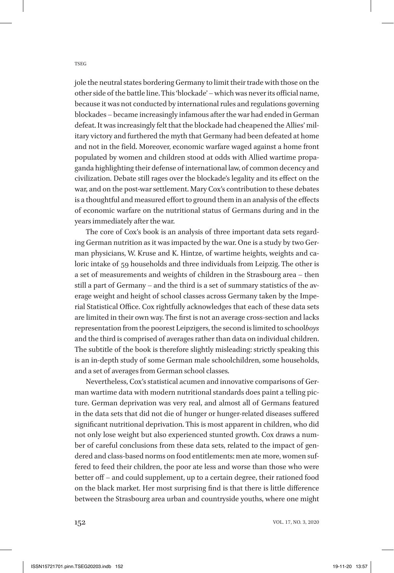TSEG

jole the neutral states bordering Germany to limit their trade with those on the other side of the battle line. This 'blockade' – which was never its official name, because it was not conducted by international rules and regulations governing blockades – became increasingly infamous after the war had ended in German defeat. It was increasingly felt that the blockade had cheapened the Allies' military victory and furthered the myth that Germany had been defeated at home and not in the field. Moreover, economic warfare waged against a home front populated by women and children stood at odds with Allied wartime propaganda highlighting their defense of international law, of common decency and civilization. Debate still rages over the blockade's legality and its effect on the war, and on the post-war settlement. Mary Cox's contribution to these debates is a thoughtful and measured effort to ground them in an analysis of the effects of economic warfare on the nutritional status of Germans during and in the years immediately after the war.

The core of Cox's book is an analysis of three important data sets regarding German nutrition as it was impacted by the war. One is a study by two German physicians, W. Kruse and K. Hintze, of wartime heights, weights and caloric intake of 59 households and three individuals from Leipzig. The other is a set of measurements and weights of children in the Strasbourg area – then still a part of Germany – and the third is a set of summary statistics of the average weight and height of school classes across Germany taken by the Imperial Statistical Office. Cox rightfully acknowledges that each of these data sets are limited in their own way. The first is not an average cross-section and lacks representation from the poorest Leipzigers, the second is limited to school*boys* and the third is comprised of averages rather than data on individual children. The subtitle of the book is therefore slightly misleading: strictly speaking this is an in-depth study of some German male schoolchildren, some households, and a set of averages from German school classes.

Nevertheless, Cox's statistical acumen and innovative comparisons of German wartime data with modern nutritional standards does paint a telling picture. German deprivation was very real, and almost all of Germans featured in the data sets that did not die of hunger or hunger-related diseases suffered significant nutritional deprivation. This is most apparent in children, who did not only lose weight but also experienced stunted growth. Cox draws a number of careful conclusions from these data sets, related to the impact of gendered and class-based norms on food entitlements: men ate more, women suffered to feed their children, the poor ate less and worse than those who were better off – and could supplement, up to a certain degree, their rationed food on the black market. Her most surprising find is that there is little difference between the Strasbourg area urban and countryside youths, where one might